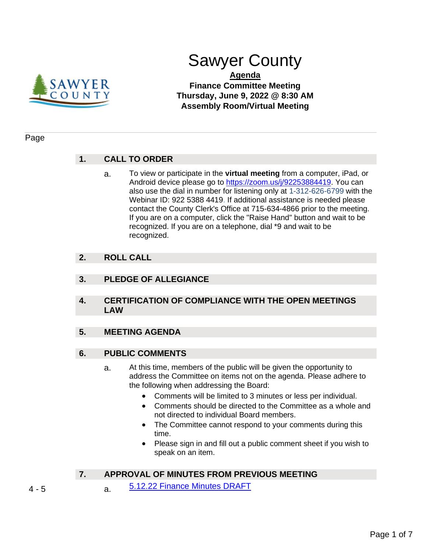

# Sawyer County

### **Agenda Finance Committee Meeting Thursday, June 9, 2022 @ 8:30 AM Assembly Room/Virtual Meeting**

#### Page

# **1. CALL TO ORDER**

a. To view or participate in the **virtual meeting** from a computer, iPad, or Android device please go to [https://zoom.us/j/92253884419.](https://zoom.us/j/92253884419) You can also use the dial in number for listening only at 1-312-626-6799 with the Webinar ID: 922 5388 4419. If additional assistance is needed please contact the County Clerk's Office at 715-634-4866 prior to the meeting. If you are on a computer, click the "Raise Hand" button and wait to be recognized. If you are on a telephone, dial \*9 and wait to be recognized.

# **2. ROLL CALL**

# **3. PLEDGE OF ALLEGIANCE**

**4. CERTIFICATION OF COMPLIANCE WITH THE OPEN MEETINGS LAW**

#### **5. MEETING AGENDA**

#### **6. PUBLIC COMMENTS**

- a. At this time, members of the public will be given the opportunity to address the Committee on items not on the agenda. Please adhere to the following when addressing the Board:
	- Comments will be limited to 3 minutes or less per individual.
	- Comments should be directed to the Committee as a whole and not directed to individual Board members.
	- The Committee cannot respond to your comments during this time.
	- Please sign in and fill out a public comment sheet if you wish to speak on an item.

# **7. APPROVAL OF MINUTES FROM PREVIOUS MEETING**

- 4 5 a. [5.12.22 Finance Minutes DRAFT](#page-3-0)
-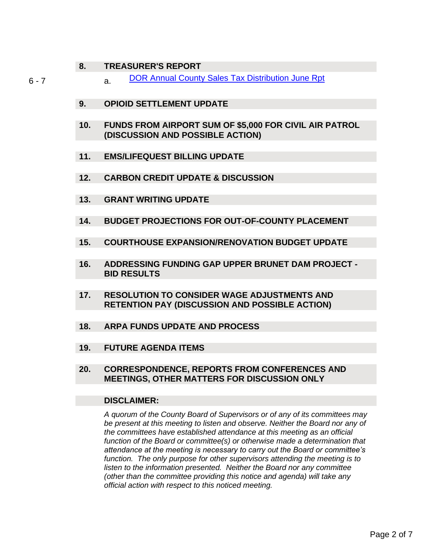#### **8. TREASURER'S REPORT**

6 - 7 **a.** [DOR Annual County Sales Tax Distribution June Rpt](#page-5-0)

- **9. OPIOID SETTLEMENT UPDATE**
- **10. FUNDS FROM AIRPORT SUM OF \$5,000 FOR CIVIL AIR PATROL (DISCUSSION AND POSSIBLE ACTION)**
- **11. EMS/LIFEQUEST BILLING UPDATE**
- **12. CARBON CREDIT UPDATE & DISCUSSION**
- **13. GRANT WRITING UPDATE**
- **14. BUDGET PROJECTIONS FOR OUT-OF-COUNTY PLACEMENT**
- **15. COURTHOUSE EXPANSION/RENOVATION BUDGET UPDATE**
- **16. ADDRESSING FUNDING GAP UPPER BRUNET DAM PROJECT - BID RESULTS**
- **17. RESOLUTION TO CONSIDER WAGE ADJUSTMENTS AND RETENTION PAY (DISCUSSION AND POSSIBLE ACTION)**
- **18. ARPA FUNDS UPDATE AND PROCESS**
- **19. FUTURE AGENDA ITEMS**
- **20. CORRESPONDENCE, REPORTS FROM CONFERENCES AND MEETINGS, OTHER MATTERS FOR DISCUSSION ONLY**

#### **DISCLAIMER:**

*A quorum of the County Board of Supervisors or of any of its committees may be present at this meeting to listen and observe. Neither the Board nor any of the committees have established attendance at this meeting as an official function of the Board or committee(s) or otherwise made a determination that attendance at the meeting is necessary to carry out the Board or committee's function. The only purpose for other supervisors attending the meeting is to listen to the information presented. Neither the Board nor any committee (other than the committee providing this notice and agenda) will take any official action with respect to this noticed meeting.*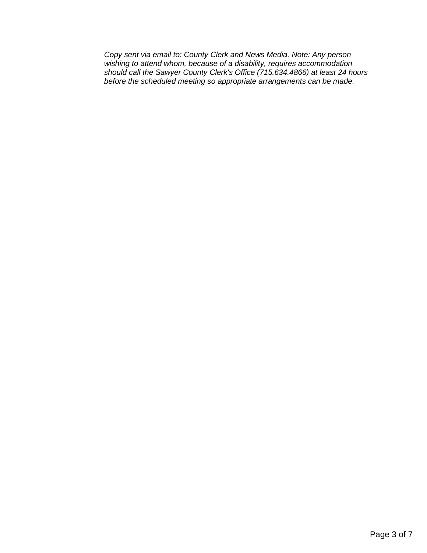*Copy sent via email to: County Clerk and News Media. Note: Any person wishing to attend whom, because of a disability, requires accommodation should call the Sawyer County Clerk's Office (715.634.4866) at least 24 hours before the scheduled meeting so appropriate arrangements can be made.*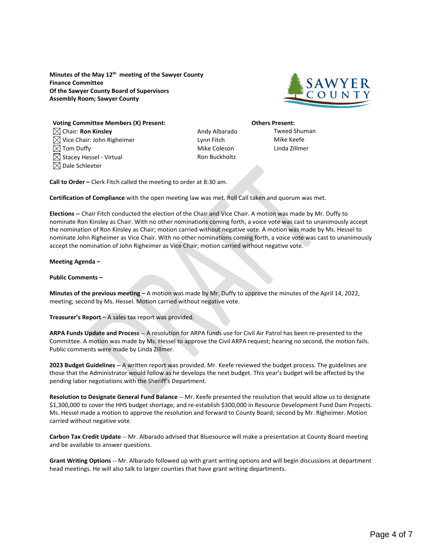<span id="page-3-0"></span>**Minutes of the May 12th meeting of the Sawyer County Finance Committee Of the Sawyer County Board of Supervisors Assembly Room; Sawyer County**



**Voting Committee Members (X) Present: Others Present:**  $\boxtimes$  Chair: **Ron Kinsley Andy Albarado** Tweed Shuman  $\boxtimes$  Vice Chair: John Righeimer Lynn Fitch Lynn Fitch Mike Keefe  $\boxtimes$  Tom Duffy  $\Box$  Tom Duffy  $\Box$  Tom Duffy  $\Box$  Tom Duffy  $\Box$  Linda Zillmer  $\boxtimes$  Stacey Hessel - Virtual  $\blacksquare$  Ron Buckholtz  $\boxtimes$  Dale Schleeter

**Call to Order –** Clerk Fitch called the meeting to order at 8:30 am.

**Certification of Compliance** with the open meeting law was met. Roll Call taken and quorum was met.

**Elections --** Chair Fitch conducted the election of the Chair and Vice Chair. A motion was made by Mr. Duffy to nominate Ron Kinsley as Chair. With no other nominations coming forth, a voice vote was cast to unanimously accept the nomination of Ron Kinsley as Chair; motion carried without negative vote. A motion was made by Ms. Hessel to nominate John Righeimer as Vice Chair. With no other nominations coming forth, a voice vote was cast to unanimously accept the nomination of John Righeimer as Vice Chair; motion carried without negative vote.

#### **Meeting Agenda –**

**Public Comments –**

**Minutes of the previous meeting –** A motion was made by Mr. Duffy to approve the minutes of the April 14, 2022, meeting; second by Ms. Hessel. Motion carried without negative vote.

**Treasurer's Report** – A sales tax report was provided.

**ARPA Funds Update and Process** -- A resolution for ARPA funds use for Civil Air Patrol has been re-presented to the Committee. A motion was made by Ms. Hessel to approve the Civil ARPA request; hearing no second, the motion fails. Public comments were made by Linda Zillmer.

**2023 Budget Guidelines --** A written report was provided. Mr. Keefe reviewed the budget process. The guidelines are those that the Administrator would follow as he develops the next budget. This year's budget will be affected by the pending labor negotiations with the Sheriff's Department.

**Resolution to Designate General Fund Balance** -- Mr. Keefe presented the resolution that would allow us to designate \$1,300,000 to cover the HHS budget shortage, and re-establish \$300,000 in Resource Development Fund Dam Projects. Ms. Hessel made a motion to approve the resolution and forward to County Board; second by Mr. Righeimer. Motion carried without negative vote.

**Carbon Tax Credit Update** -- Mr. Albarado advised that Bluesource will make a presentation at County Board meeting and be available to answer questions.

**Grant Writing Options** -- Mr. Albarado followed up with grant writing options and will begin discussions at department head meetings. He will also talk to larger counties that have grant writing departments.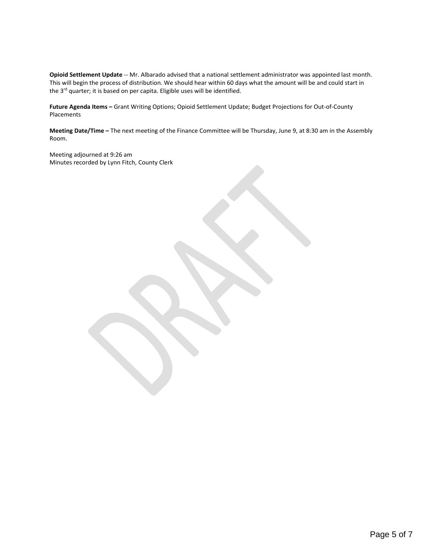**Opioid Settlement Update** -- Mr. Albarado advised that a national settlement administrator was appointed last month. This will begin the process of distribution. We should hear within 60 days what the amount will be and could start in the 3<sup>rd</sup> quarter; it is based on per capita. Eligible uses will be identified.

**Future Agenda Items –** Grant Writing Options; Opioid Settlement Update; Budget Projections for Out-of-County Placements

**Meeting Date/Time –** The next meeting of the Finance Committee will be Thursday, June 9, at 8:30 am in the Assembly Room.

Meeting adjourned at 9:26 am Minutes recorded by Lynn Fitch, County Clerk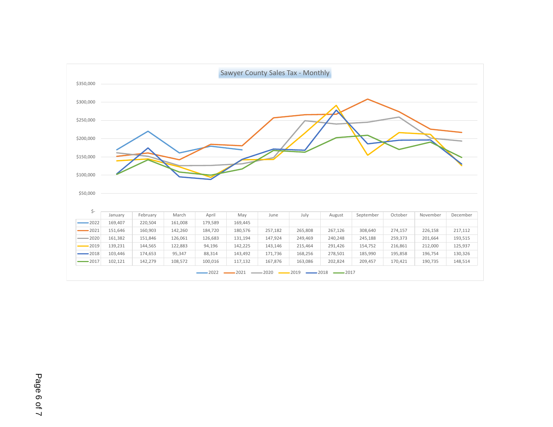<span id="page-5-0"></span>